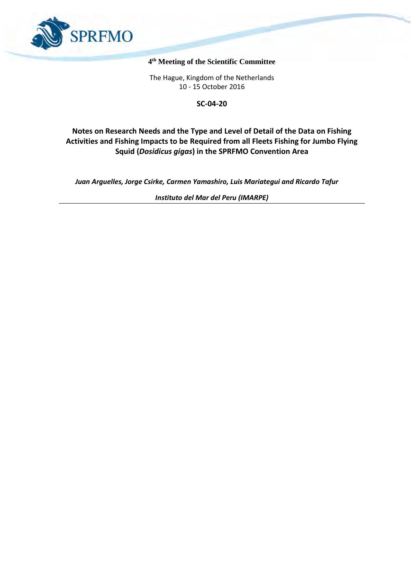

#### **4 th Meeting of the Scientific Committee**

The Hague, Kingdom of the Netherlands 10 - 15 October 2016

**SC-04-20**

# **Notes on Research Needs and the Type and Level of Detail of the Data on Fishing Activities and Fishing Impacts to be Required from all Fleets Fishing for Jumbo Flying Squid (***Dosidicus gigas***) in the SPRFMO Convention Area**

*Juan Arguelles, Jorge Csirke, Carmen Yamashiro, Luis Mariategui and Ricardo Tafur*

*Instituto del Mar del Peru (IMARPE)*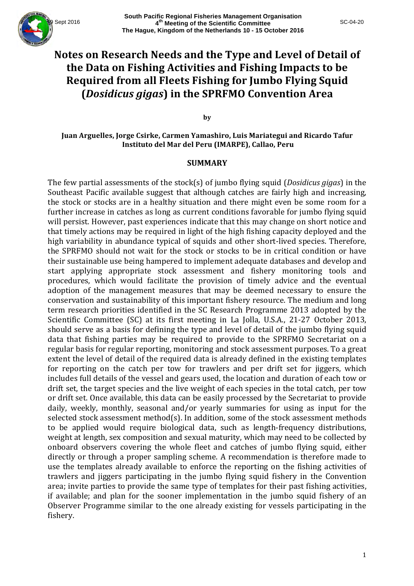

# Notes on Research Needs and the Type and Level of Detail of the Data on Fishing Activities and Fishing Impacts to be **Required from all Fleets Fishing for Jumbo Flying Squid (***Dosidicus gigas***) in the SPRFMO Convention Area**

**by**

**Juan Arguelles, Jorge Csirke, Carmen Yamashiro, Luis Mariategui and Ricardo Tafur Instituto del Mar del Peru (IMARPE), Callao, Peru**

#### **SUMMARY**

The few partial assessments of the stock(s) of jumbo flying squid (*Dosidicus gigas*) in the Southeast Pacific available suggest that although catches are fairly high and increasing, the stock or stocks are in a healthy situation and there might even be some room for a further increase in catches as long as current conditions favorable for jumbo flying squid will persist. However, past experiences indicate that this may change on short notice and that timely actions may be required in light of the high fishing capacity deployed and the high variability in abundance typical of squids and other short-lived species. Therefore, the SPRFMO should not wait for the stock or stocks to be in critical condition or have their sustainable use being hampered to implement adequate databases and develop and start applying appropriate stock assessment and fishery monitoring tools and procedures, which would facilitate the provision of timely advice and the eventual adoption of the management measures that may be deemed necessary to ensure the conservation and sustainability of this important fishery resource. The medium and long term research priorities identified in the SC Research Programme 2013 adopted by the Scientific Committee (SC) at its first meeting in La Jolla, U.S.A., 21-27 October 2013, should serve as a basis for defining the type and level of detail of the jumbo flying squid data that fishing parties may be required to provide to the SPRFMO Secretariat on a regular basis for regular reporting, monitoring and stock assessment purposes. To a great extent the level of detail of the required data is already defined in the existing templates for reporting on the catch per tow for trawlers and per drift set for jiggers, which includes full details of the vessel and gears used, the location and duration of each tow or drift set, the target species and the live weight of each species in the total catch, per tow or drift set. Once available, this data can be easily processed by the Secretariat to provide daily, weekly, monthly, seasonal and/or yearly summaries for using as input for the selected stock assessment method(s). In addition, some of the stock assessment methods to be applied would require biological data, such as length-frequency distributions, weight at length, sex composition and sexual maturity, which may need to be collected by onboard observers covering the whole fleet and catches of jumbo flying squid, either directly or through a proper sampling scheme. A recommendation is therefore made to use the templates already available to enforce the reporting on the fishing activities of trawlers and jiggers participating in the jumbo flying squid fishery in the Convention area; invite parties to provide the same type of templates for their past fishing activities, if available; and plan for the sooner implementation in the jumbo squid fishery of an Observer Programme similar to the one already existing for vessels participating in the fishery.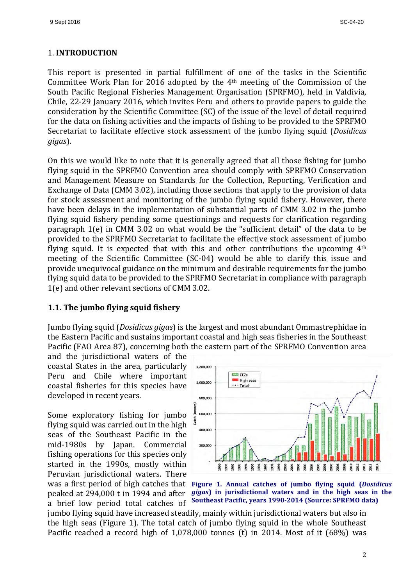#### 1. **INTRODUCTION**

This report is presented in partial fulfillment of one of the tasks in the Scientific Committee Work Plan for 2016 adopted by the  $4<sup>th</sup>$  meeting of the Commission of the South Pacific Regional Fisheries Management Organisation (SPRFMO), held in Valdivia, Chile, 22-29 January 2016, which invites Peru and others to provide papers to guide the consideration by the Scientific Committee (SC) of the issue of the level of detail required for the data on fishing activities and the impacts of fishing to be provided to the SPRFMO Secretariat to facilitate effective stock assessment of the jumbo flying squid (*Dosidicus gigas*). 

On this we would like to note that it is generally agreed that all those fishing for jumbo flying squid in the SPRFMO Convention area should comply with SPRFMO Conservation and Management Measure on Standards for the Collection, Reporting, Verification and Exchange of Data (CMM 3.02), including those sections that apply to the provision of data for stock assessment and monitoring of the jumbo flying squid fishery. However, there have been delays in the implementation of substantial parts of CMM 3.02 in the jumbo flying squid fishery pending some questionings and requests for clarification regarding paragraph  $1(e)$  in CMM 3.02 on what would be the "sufficient detail" of the data to be provided to the SPRFMO Secretariat to facilitate the effective stock assessment of jumbo flying squid. It is expected that with this and other contributions the upcoming  $4<sup>th</sup>$ meeting of the Scientific Committee (SC-04) would be able to clarify this issue and provide unequivocal guidance on the minimum and desirable requirements for the jumbo flying squid data to be provided to the SPRFMO Secretariat in compliance with paragraph 1(e) and other relevant sections of CMM 3.02.

# **1.1.** The jumbo flying squid fishery

Jumbo flying squid (*Dosidicus gigas*) is the largest and most abundant Ommastrephidae in the Eastern Pacific and sustains important coastal and high seas fisheries in the Southeast Pacific (FAO Area 87), concerning both the eastern part of the SPRFMO Convention area

and the jurisdictional waters of the coastal States in the area, particularly Peru and Chile where important coastal fisheries for this species have developed in recent years.

Some exploratory fishing for jumbo flying squid was carried out in the high seas of the Southeast Pacific in the mid-1980s by Japan. Commercial fishing operations for this species only started in the 1990s, mostly within Peruvian jurisdictional waters. There was a first period of high catches that peaked at 294,000 t in 1994 and after a brief low period total catches of





jumbo flying squid have increased steadily, mainly within jurisdictional waters but also in the high seas (Figure 1). The total catch of jumbo flying squid in the whole Southeast Pacific reached a record high of  $1,078,000$  tonnes (t) in 2014. Most of it  $(68%)$  was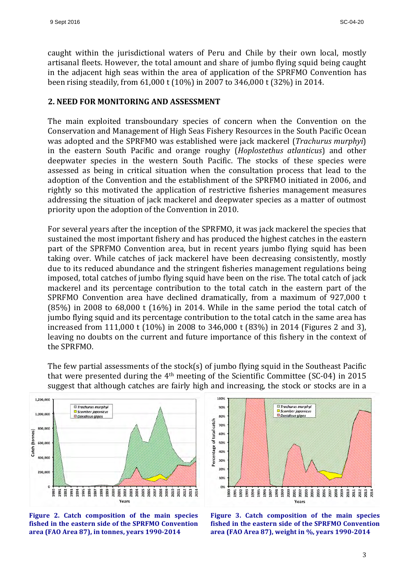caught within the jurisdictional waters of Peru and Chile by their own local, mostly artisanal fleets. However, the total amount and share of jumbo flying squid being caught in the adjacent high seas within the area of application of the SPRFMO Convention has been rising steadily, from  $61,000$  t  $(10\%)$  in 2007 to 346,000 t  $(32\%)$  in 2014.

#### **2. NEED FOR MONITORING AND ASSESSMENT**

The main exploited transboundary species of concern when the Convention on the Conservation and Management of High Seas Fishery Resources in the South Pacific Ocean was adopted and the SPRFMO was established were jack mackerel (*Trachurus murphyi*) in the eastern South Pacific and orange roughy (*Hoplostethus atlanticus*) and other deepwater species in the western South Pacific. The stocks of these species were assessed as being in critical situation when the consultation process that lead to the adoption of the Convention and the establishment of the SPRFMO initiated in 2006, and rightly so this motivated the application of restrictive fisheries management measures addressing the situation of jack mackerel and deepwater species as a matter of outmost priority upon the adoption of the Convention in 2010.

For several years after the inception of the SPRFMO, it was jack mackerel the species that sustained the most important fishery and has produced the highest catches in the eastern part of the SPRFMO Convention area, but in recent years jumbo flying squid has been taking over. While catches of jack mackerel have been decreasing consistently, mostly due to its reduced abundance and the stringent fisheries management regulations being imposed, total catches of jumbo flying squid have been on the rise. The total catch of jack mackerel and its percentage contribution to the total catch in the eastern part of the SPRFMO Convention area have declined dramatically, from a maximum of 927,000 t  $(85%)$  in 2008 to  $68,000$  t  $(16%)$  in 2014. While in the same period the total catch of jumbo flying squid and its percentage contribution to the total catch in the same area has increased from 111,000 t  $(10\%)$  in 2008 to 346,000 t  $(83\%)$  in 2014 (Figures 2 and 3), leaving no doubts on the current and future importance of this fishery in the context of the SPRFMO.

The few partial assessments of the stock(s) of jumbo flying squid in the Southeast Pacific that were presented during the  $4<sup>th</sup>$  meeting of the Scientific Committee (SC-04) in 2015 suggest that although catches are fairly high and increasing, the stock or stocks are in a







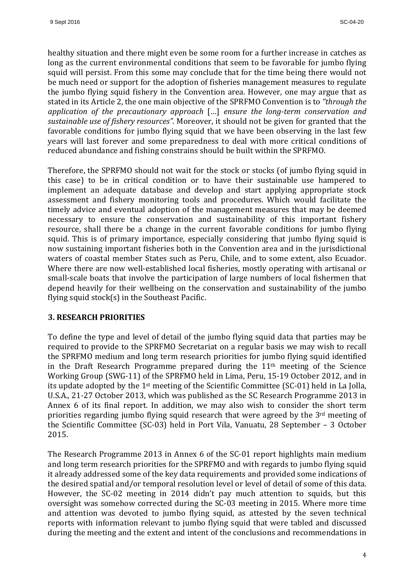healthy situation and there might even be some room for a further increase in catches as long as the current environmental conditions that seem to be favorable for jumbo flying squid will persist. From this some may conclude that for the time being there would not be much need or support for the adoption of fisheries management measures to regulate the jumbo flying squid fishery in the Convention area. However, one may argue that as stated in its Article 2, the one main objective of the SPRFMO Convention is to *"through the application of the precautionary approach* [...] *ensure the long-term conservation and* sustainable use of fishery resources". Moreover, it should not be given for granted that the favorable conditions for jumbo flying squid that we have been observing in the last few years will last forever and some preparedness to deal with more critical conditions of reduced abundance and fishing constrains should be built within the SPRFMO.

Therefore, the SPRFMO should not wait for the stock or stocks (of jumbo flying squid in this case) to be in critical condition or to have their sustainable use hampered to implement an adequate database and develop and start applying appropriate stock assessment and fishery monitoring tools and procedures. Which would facilitate the timely advice and eventual adoption of the management measures that may be deemed necessary to ensure the conservation and sustainability of this important fishery resource, shall there be a change in the current favorable conditions for jumbo flying squid. This is of primary importance, especially considering that jumbo flying squid is now sustaining important fisheries both in the Convention area and in the jurisdictional waters of coastal member States such as Peru, Chile, and to some extent, also Ecuador. Where there are now well-established local fisheries, mostly operating with artisanal or small-scale boats that involve the participation of large numbers of local fishermen that depend heavily for their wellbeing on the conservation and sustainability of the jumbo flying squid  $stock(s)$  in the Southeast Pacific.

#### **3. RESEARCH PRIORITIES**

To define the type and level of detail of the jumbo flying squid data that parties may be required to provide to the SPRFMO Secretariat on a regular basis we may wish to recall the SPRFMO medium and long term research priorities for jumbo flying squid identified in the Draft Research Programme prepared during the  $11<sup>th</sup>$  meeting of the Science Working Group (SWG-11) of the SPRFMO held in Lima, Peru, 15-19 October 2012, and in its update adopted by the  $1<sup>st</sup>$  meeting of the Scientific Committee (SC-01) held in La Jolla, U.S.A., 21-27 October 2013, which was published as the SC Research Programme 2013 in Annex 6 of its final report. In addition, we may also wish to consider the short term priorities regarding jumbo flying squid research that were agreed by the  $3<sup>rd</sup>$  meeting of the Scientific Committee (SC-03) held in Port Vila, Vanuatu, 28 September – 3 October 2015. 

The Research Programme 2013 in Annex 6 of the SC-01 report highlights main medium and long term research priorities for the SPRFMO and with regards to jumbo flying squid it already addressed some of the key data requirements and provided some indications of the desired spatial and/or temporal resolution level or level of detail of some of this data. However, the SC-02 meeting in 2014 didn't pay much attention to squids, but this oversight was somehow corrected during the SC-03 meeting in 2015. Where more time and attention was devoted to jumbo flying squid, as attested by the seven technical reports with information relevant to jumbo flying squid that were tabled and discussed during the meeting and the extent and intent of the conclusions and recommendations in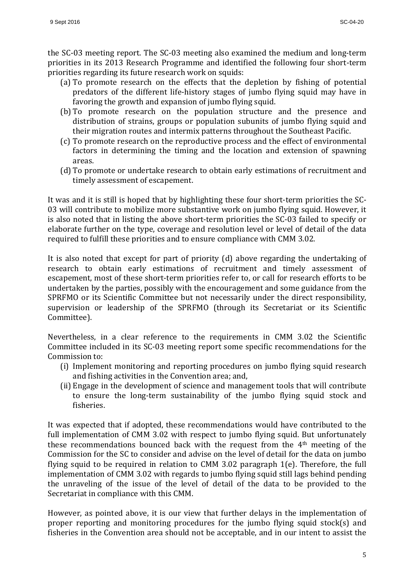the SC-03 meeting report. The SC-03 meeting also examined the medium and long-term priorities in its 2013 Research Programme and identified the following four short-term priorities regarding its future research work on squids:

- (a) To promote research on the effects that the depletion by fishing of potential predators of the different life-history stages of jumbo flying squid may have in favoring the growth and expansion of jumbo flying squid.
- (b) To promote research on the population structure and the presence and distribution of strains, groups or population subunits of jumbo flying squid and their migration routes and intermix patterns throughout the Southeast Pacific.
- (c) To promote research on the reproductive process and the effect of environmental factors in determining the timing and the location and extension of spawning areas.
- (d) To promote or undertake research to obtain early estimations of recruitment and timely assessment of escapement.

It was and it is still is hoped that by highlighting these four short-term priorities the SC-03 will contribute to mobilize more substantive work on jumbo flying squid. However, it is also noted that in listing the above short-term priorities the SC-03 failed to specify or elaborate further on the type, coverage and resolution level or level of detail of the data required to fulfill these priorities and to ensure compliance with CMM 3.02.

It is also noted that except for part of priority (d) above regarding the undertaking of research to obtain early estimations of recruitment and timely assessment of escapement, most of these short-term priorities refer to, or call for research efforts to be undertaken by the parties, possibly with the encouragement and some guidance from the SPRFMO or its Scientific Committee but not necessarily under the direct responsibility, supervision or leadership of the SPRFMO (through its Secretariat or its Scientific Committee). 

Nevertheless, in a clear reference to the requirements in CMM 3.02 the Scientific Committee included in its SC-03 meeting report some specific recommendations for the Commission to:

- (i) Implement monitoring and reporting procedures on jumbo flying squid research and fishing activities in the Convention area; and,
- (ii) Engage in the development of science and management tools that will contribute to ensure the long-term sustainability of the jumbo flying squid stock and fisheries.

It was expected that if adopted, these recommendations would have contributed to the full implementation of CMM 3.02 with respect to jumbo flying squid. But unfortunately these recommendations bounced back with the request from the  $4<sup>th</sup>$  meeting of the Commission for the SC to consider and advise on the level of detail for the data on jumbo flying squid to be required in relation to CMM 3.02 paragraph  $1(e)$ . Therefore, the full implementation of CMM 3.02 with regards to jumbo flying squid still lags behind pending the unraveling of the issue of the level of detail of the data to be provided to the Secretariat in compliance with this CMM.

However, as pointed above, it is our view that further delays in the implementation of proper reporting and monitoring procedures for the jumbo flying squid stock(s) and fisheries in the Convention area should not be acceptable, and in our intent to assist the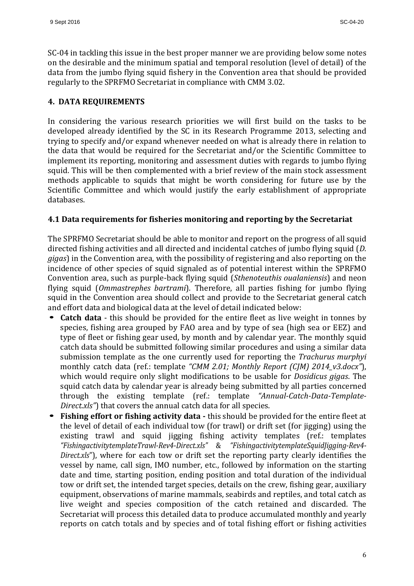SC-04 in tackling this issue in the best proper manner we are providing below some notes on the desirable and the minimum spatial and temporal resolution (level of detail) of the data from the jumbo flying squid fishery in the Convention area that should be provided regularly to the SPRFMO Secretariat in compliance with CMM 3.02.

# **4. DATA REQUIREMENTS**

In considering the various research priorities we will first build on the tasks to be developed already identified by the SC in its Research Programme 2013, selecting and trying to specify and/or expand whenever needed on what is already there in relation to the data that would be required for the Secretariat and/or the Scientific Committee to implement its reporting, monitoring and assessment duties with regards to jumbo flying squid. This will be then complemented with a brief review of the main stock assessment methods applicable to squids that might be worth considering for future use by the Scientific Committee and which would justify the early establishment of appropriate databases. 

#### **4.1 Data requirements for fisheries monitoring and reporting by the Secretariat**

The SPRFMO Secretariat should be able to monitor and report on the progress of all squid directed fishing activities and all directed and incidental catches of jumbo flying squid (*D.*) *gigas*) in the Convention area, with the possibility of registering and also reporting on the incidence of other species of squid signaled as of potential interest within the SPRFMO Convention area, such as purple-back flying squid (*Sthenoteuthis oualaniensis*) and neon flying squid (*Ommastrephes bartrami*). Therefore, all parties fishing for jumbo flying squid in the Convention area should collect and provide to the Secretariat general catch and effort data and biological data at the level of detail indicated below:

- **Catch data** this should be provided for the entire fleet as live weight in tonnes by species, fishing area grouped by FAO area and by type of sea (high sea or EEZ) and type of fleet or fishing gear used, by month and by calendar year. The monthly squid catch data should be submitted following similar procedures and using a similar data submission template as the one currently used for reporting the *Trachurus murphyi* monthly catch data (ref.: template "CMM 2.01; Monthly Report (CJM) 2014\_v3.docx"), which would require only slight modifications to be usable for *Dosidicus gigas*. The squid catch data by calendar year is already being submitted by all parties concerned through the existing template (ref.: template "Annual-Catch-Data-Template-*Direct.xls"*) that covers the annual catch data for all species.
- **Fishing effort or fishing activity data -** this should be provided for the entire fleet at the level of detail of each individual tow (for trawl) or drift set (for jigging) using the existing trawl and squid jigging fishing activity templates (ref.: templates *"FishingactivitytemplateTrawl-Rev4-Direct.xls"*  & *"FishingactivitytemplateSquidJigging-Rev4- Direct.xls*"), where for each tow or drift set the reporting party clearly identifies the vessel by name, call sign, IMO number, etc., followed by information on the starting date and time, starting position, ending position and total duration of the individual tow or drift set, the intended target species, details on the crew, fishing gear, auxiliary equipment, observations of marine mammals, seabirds and reptiles, and total catch as live weight and species composition of the catch retained and discarded. The Secretariat will process this detailed data to produce accumulated monthly and yearly reports on catch totals and by species and of total fishing effort or fishing activities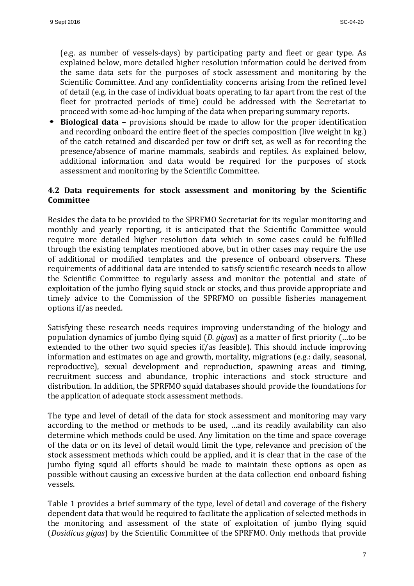(e.g. as number of vessels-days) by participating party and fleet or gear type. As explained below, more detailed higher resolution information could be derived from the same data sets for the purposes of stock assessment and monitoring by the Scientific Committee. And any confidentiality concerns arising from the refined level of detail (e.g. in the case of individual boats operating to far apart from the rest of the fleet for protracted periods of time) could be addressed with the Secretariat to proceed with some ad-hoc lumping of the data when preparing summary reports.

• **Biological data** – provisions should be made to allow for the proper identification and recording onboard the entire fleet of the species composition (live weight in kg.) of the catch retained and discarded per tow or drift set, as well as for recording the presence/absence of marine mammals, seabirds and reptiles. As explained below, additional information and data would be required for the purposes of stock assessment and monitoring by the Scientific Committee.

### **4.2 Data requirements for stock assessment and monitoring by the Scientific Committee**

Besides the data to be provided to the SPRFMO Secretariat for its regular monitoring and monthly and yearly reporting, it is anticipated that the Scientific Committee would require more detailed higher resolution data which in some cases could be fulfilled through the existing templates mentioned above, but in other cases may require the use of additional or modified templates and the presence of onboard observers. These requirements of additional data are intended to satisfy scientific research needs to allow the Scientific Committee to regularly assess and monitor the potential and state of exploitation of the jumbo flying squid stock or stocks, and thus provide appropriate and timely advice to the Commission of the SPRFMO on possible fisheries management options if/as needed.

Satisfying these research needs requires improving understanding of the biology and population dynamics of jumbo flying squid (*D. gigas*) as a matter of first priority (...to be extended to the other two squid species if/as feasible). This should include improving information and estimates on age and growth, mortality, migrations (e.g.: daily, seasonal, reproductive), sexual development and reproduction, spawning areas and timing, recruitment success and abundance, trophic interactions and stock structure and distribution. In addition, the SPRFMO squid databases should provide the foundations for the application of adequate stock assessment methods.

The type and level of detail of the data for stock assessment and monitoring may vary according to the method or methods to be used, ...and its readily availability can also determine which methods could be used. Any limitation on the time and space coverage of the data or on its level of detail would limit the type, relevance and precision of the stock assessment methods which could be applied, and it is clear that in the case of the jumbo flying squid all efforts should be made to maintain these options as open as possible without causing an excessive burden at the data collection end onboard fishing vessels. 

Table 1 provides a brief summary of the type, level of detail and coverage of the fishery dependent data that would be required to facilitate the application of selected methods in the monitoring and assessment of the state of exploitation of jumbo flying squid (*Dosidicus gigas*) by the Scientific Committee of the SPRFMO. Only methods that provide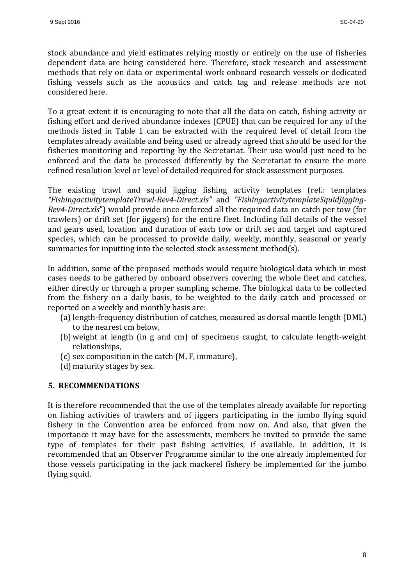stock abundance and yield estimates relying mostly or entirely on the use of fisheries dependent data are being considered here. Therefore, stock research and assessment methods that rely on data or experimental work onboard research vessels or dedicated fishing vessels such as the acoustics and catch tag and release methods are not considered here.

To a great extent it is encouraging to note that all the data on catch, fishing activity or fishing effort and derived abundance indexes (CPUE) that can be required for any of the methods listed in Table 1 can be extracted with the required level of detail from the templates already available and being used or already agreed that should be used for the fisheries monitoring and reporting by the Secretariat. Their use would just need to be enforced and the data be processed differently by the Secretariat to ensure the more refined resolution level or level of detailed required for stock assessment purposes.

The existing trawl and squid jigging fishing activity templates (ref.: templates *"FishingactivitytemplateTrawl-Rev4-Direct.xls"*  and *"FishingactivitytemplateSquidJigging-Rev4-Direct.xls*") would provide once enforced all the required data on catch per tow (for trawlers) or drift set (for jiggers) for the entire fleet. Including full details of the vessel and gears used, location and duration of each tow or drift set and target and captured species, which can be processed to provide daily, weekly, monthly, seasonal or yearly summaries for inputting into the selected stock assessment method(s).

In addition, some of the proposed methods would require biological data which in most cases needs to be gathered by onboard observers covering the whole fleet and catches, either directly or through a proper sampling scheme. The biological data to be collected from the fishery on a daily basis, to be weighted to the daily catch and processed or reported on a weekly and monthly basis are:

- (a) length-frequency distribution of catches, measured as dorsal mantle length (DML) to the nearest cm below,
- (b) weight at length (in g and cm) of specimens caught, to calculate length-weight relationships,
- (c) sex composition in the catch  $(M, F, immature)$ ,
- (d) maturity stages by sex.

# **5. RECOMMENDATIONS**

It is therefore recommended that the use of the templates already available for reporting on fishing activities of trawlers and of jiggers participating in the jumbo flying squid fishery in the Convention area be enforced from now on. And also, that given the importance it may have for the assessments, members be invited to provide the same type of templates for their past fishing activities, if available. In addition, it is recommended that an Observer Programme similar to the one already implemented for those vessels participating in the jack mackerel fishery be implemented for the jumbo flying squid.